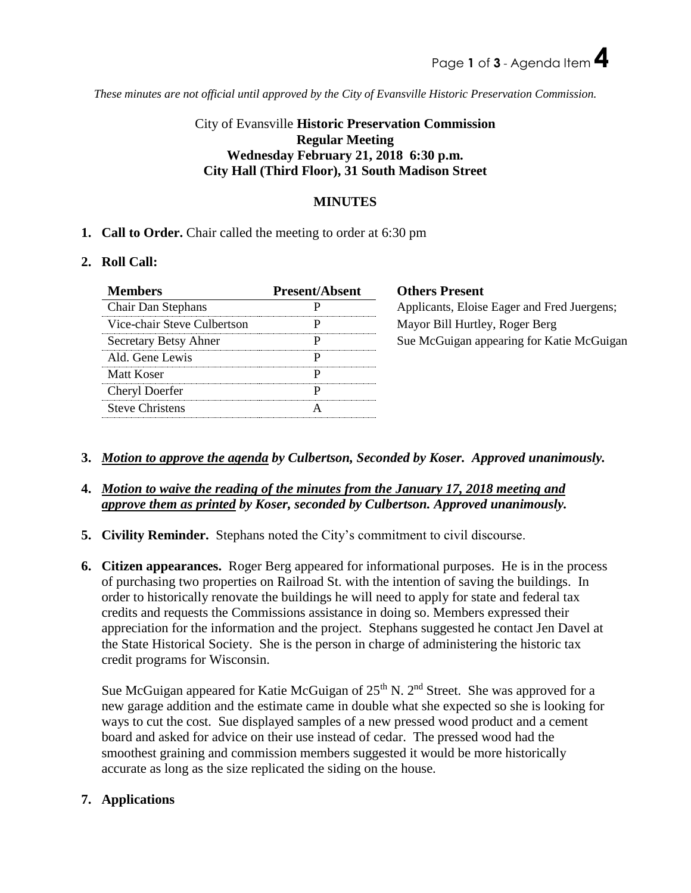*These minutes are not official until approved by the City of Evansville Historic Preservation Commission.*

# City of Evansville **Historic Preservation Commission Regular Meeting Wednesday February 21, 2018 6:30 p.m. City Hall (Third Floor), 31 South Madison Street**

## **MINUTES**

**1. Call to Order.** Chair called the meeting to order at 6:30 pm

## **2. Roll Call:**

| <b>Members</b>              | <b>Present/Absent</b> | <b>Others Present</b>                       |
|-----------------------------|-----------------------|---------------------------------------------|
| Chair Dan Stephans          |                       | Applicants, Eloise Eager and Fred Juergens; |
| Vice-chair Steve Culbertson |                       | Mayor Bill Hurtley, Roger Berg              |
| Secretary Betsy Ahner       | Ρ                     | Sue McGuigan appearing for Katie McGuigan   |
| Ald. Gene Lewis             |                       |                                             |
| Matt Koser                  |                       |                                             |
| Cheryl Doerfer              |                       |                                             |
| <b>Steve Christens</b>      | А                     |                                             |

- **3.** *Motion to approve the agenda by Culbertson, Seconded by Koser. Approved unanimously.*
- **4.** *Motion to waive the reading of the minutes from the January 17, 2018 meeting and approve them as printed by Koser, seconded by Culbertson. Approved unanimously.*
- **5. Civility Reminder.** Stephans noted the City's commitment to civil discourse.
- **6. Citizen appearances.** Roger Berg appeared for informational purposes. He is in the process of purchasing two properties on Railroad St. with the intention of saving the buildings. In order to historically renovate the buildings he will need to apply for state and federal tax credits and requests the Commissions assistance in doing so. Members expressed their appreciation for the information and the project. Stephans suggested he contact Jen Davel at the State Historical Society. She is the person in charge of administering the historic tax credit programs for Wisconsin.

Sue McGuigan appeared for Katie McGuigan of  $25<sup>th</sup>$  N. 2<sup>nd</sup> Street. She was approved for a new garage addition and the estimate came in double what she expected so she is looking for ways to cut the cost. Sue displayed samples of a new pressed wood product and a cement board and asked for advice on their use instead of cedar. The pressed wood had the smoothest graining and commission members suggested it would be more historically accurate as long as the size replicated the siding on the house.

## **7. Applications**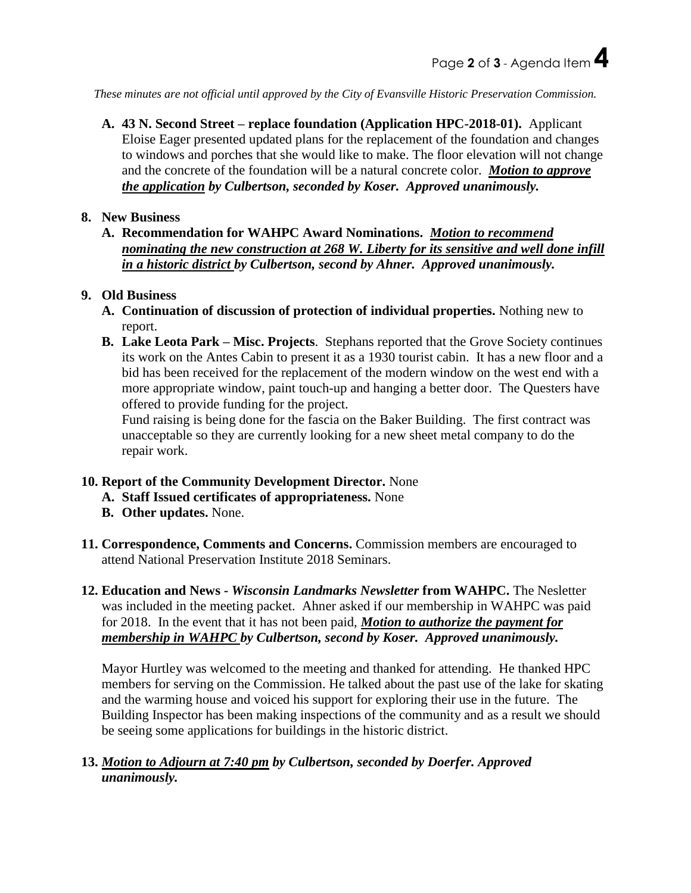*These minutes are not official until approved by the City of Evansville Historic Preservation Commission.*

**A. 43 N. Second Street – replace foundation (Application HPC-2018-01).** Applicant Eloise Eager presented updated plans for the replacement of the foundation and changes to windows and porches that she would like to make. The floor elevation will not change and the concrete of the foundation will be a natural concrete color. *Motion to approve the application by Culbertson, seconded by Koser. Approved unanimously.* 

#### **8. New Business**

**A. Recommendation for WAHPC Award Nominations.** *Motion to recommend nominating the new construction at 268 W. Liberty for its sensitive and well done infill in a historic district by Culbertson, second by Ahner. Approved unanimously.*

## **9. Old Business**

- **A. Continuation of discussion of protection of individual properties.** Nothing new to report.
- **B. Lake Leota Park – Misc. Projects**. Stephans reported that the Grove Society continues its work on the Antes Cabin to present it as a 1930 tourist cabin. It has a new floor and a bid has been received for the replacement of the modern window on the west end with a more appropriate window, paint touch-up and hanging a better door. The Questers have offered to provide funding for the project.

Fund raising is being done for the fascia on the Baker Building. The first contract was unacceptable so they are currently looking for a new sheet metal company to do the repair work.

## **10. Report of the Community Development Director.** None

- **A. Staff Issued certificates of appropriateness.** None
- **B. Other updates.** None.
- **11. Correspondence, Comments and Concerns.** Commission members are encouraged to attend National Preservation Institute 2018 Seminars.
- **12. Education and News -** *Wisconsin Landmarks Newsletter* **from WAHPC.** The Nesletter was included in the meeting packet. Ahner asked if our membership in WAHPC was paid for 2018. In the event that it has not been paid, *Motion to authorize the payment for membership in WAHPC by Culbertson, second by Koser. Approved unanimously.*

Mayor Hurtley was welcomed to the meeting and thanked for attending. He thanked HPC members for serving on the Commission. He talked about the past use of the lake for skating and the warming house and voiced his support for exploring their use in the future. The Building Inspector has been making inspections of the community and as a result we should be seeing some applications for buildings in the historic district.

## **13.** *Motion to Adjourn at 7:40 pm by Culbertson, seconded by Doerfer. Approved unanimously.*